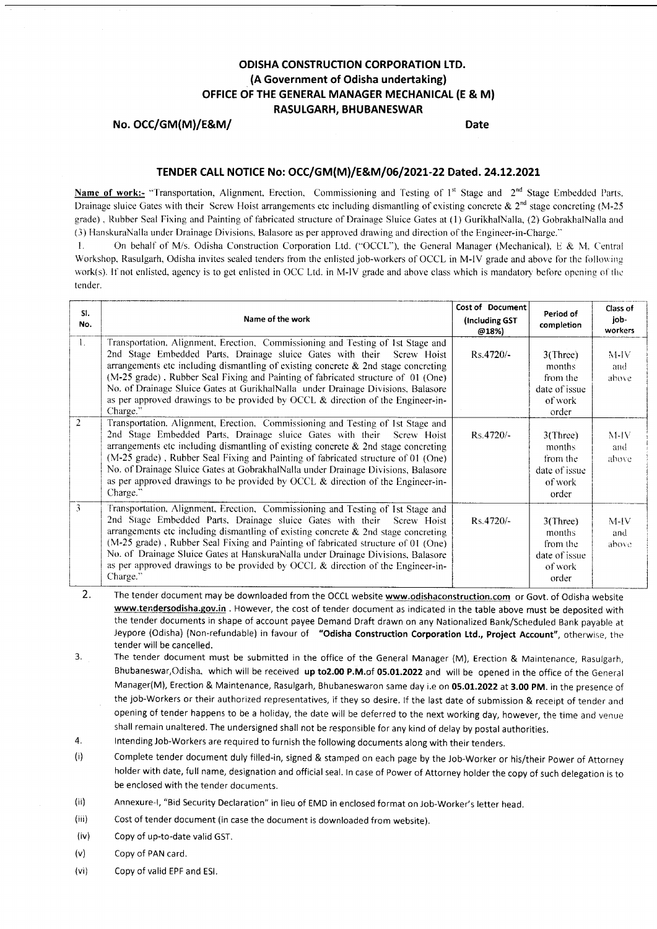## ODISHA CONSTRUCTION CORPORATION LTD. (A Government of Odisha undertaking) OFFICE OF THE GENERAL MANAGER MECHANICAL (E & M) RASULGARH, BHUBANESWAR

No. OCC/GM(M)/E&M/ Date

### TENDER CALL NOTICE No: OCC/GM(M)/E&M/06/2021-22 Dated. 24.12.2021

Name of work:- "Transportation, Alignment, Erection, Commissioning and Testing of  $1<sup>st</sup>$  Stage and  $2<sup>nd</sup>$  Stage Embedded Parts. Drainage sluice Gates with their Screw Hoist arrangements etc including dismantling of existing concrete  $\& 2<sup>nd</sup>$  stage concreting (M-25) grade). Rubber Seal Fixing and Painting of tabricated structure of Drainage Sluice Gates at (l) GurikhalNalla, (2) GobrakhalNalla and (3) HanskuraNalla under Drainage Divisions, Balasore as per approved drawing and direction of the Engineer-in-Charge."

l. On behalf of M/s. Odisha Construction Corporation Ltd. ("OCCL"), the General Manager (Mechanical). B & M. Central Workshop, Rasulgarh, Odisha invites sealed tenders from the enlisted job-workers of OCCL in M-IV grade and above for the following work(s). If not enlisted, agency is to get enlisted in OCC Ltd. in M-IV grade and above class which is mandatory before opening of the tender.

| SI.<br>No.     | Name of the work                                                                                                                                                                                                                                                                                                                                                                                                                                                                                                            | Cost of Document<br>(Including GST<br>@18%) | Period of<br>completion                                                | Class of<br>job-<br>workers |
|----------------|-----------------------------------------------------------------------------------------------------------------------------------------------------------------------------------------------------------------------------------------------------------------------------------------------------------------------------------------------------------------------------------------------------------------------------------------------------------------------------------------------------------------------------|---------------------------------------------|------------------------------------------------------------------------|-----------------------------|
| $1_{\cdots}$   | Transportation, Alignment, Erection, Commissioning and Testing of 1st Stage and<br>2nd Stage Embedded Parts, Drainage sluice Gates with their Screw Hoist<br>arrangements etc including dismantling of existing concrete $\&$ 2nd stage concreting<br>(M-25 grade), Rubber Seal Fixing and Painting of fabricated structure of 01 (One)<br>No. of Drainage Sluice Gates at GurikhalNalla under Drainage Divisions, Balasore<br>as per approved drawings to be provided by OCCL & direction of the Engineer-in-<br>Charge."  | $Rs.4720/-$                                 | $3$ (Three)<br>months<br>from the<br>date of issue<br>of work<br>order | $M$ -J $V$<br>and<br>above  |
| $\overline{2}$ | Transportation, Alignment, Erection, Commissioning and Testing of 1st Stage and<br>2nd Stage Embedded Parts, Drainage sluice Gates with their Screw Hoist<br>arrangements etc including dismantling of existing concrete $\&$ 2nd stage concreting<br>(M-25 grade), Rubber Seal Fixing and Painting of fabricated structure of 01 (One)<br>No. of Drainage Sluice Gates at GobrakhalNalla under Drainage Divisions, Balasore<br>as per approved drawings to be provided by OCCL & direction of the Engineer-in-<br>Charge." | Rs.4720/-                                   | 3(Three)<br>months<br>from the<br>date of issue<br>of work<br>order    | $M-IV$<br>and<br>above      |
| $\overline{3}$ | Transportation, Alignment, Erection, Commissioning and Testing of 1st Stage and<br>2nd Stage Embedded Parts, Drainage sluice Gates with their Screw Hoist<br>arrangements etc including dismantling of existing concrete $\&$ 2nd stage concreting<br>(M-25 grade), Rubber Seal Fixing and Painting of fabricated structure of 01 (One)<br>No. of Drainage Sluice Gates at HanskuraNalla under Drainage Divisions, Balasore<br>as per approved drawings to be provided by OCCL & direction of the Engineer-in-<br>Charge."  | $Rs.4720/-$                                 | $3$ (Three)<br>months<br>from the<br>date of issue<br>of work<br>order | $M-IV$<br>and<br>above      |

- The tender document may be downloaded from the OCCL website www.odishaconstruction.com or Govt. of Odisha website 2. www.tendersodisha.gov.in . However, the cost of tender document as indicated in the table above must be deposited with the tender documents in shape of account payee Demand Draft drawn on any Nationalized Bank/Scheduled Bank payable at Jeypore (Odisha) (Non-refundable) in favour of "Odisha Construction Corporation Ltd., Project Account", otherwise, the tender will be cancelled.
- The tender document must be submitted in the office of the General Manager (M), Erection & Maintenance, Rasulgarh, Bhubaneswar, Odisha, which will be received up to2.00 P.M.of 05.01.2022 and will be opened in the office of the General Manager(M), Erection & Maintenance, Rasulgarh, Bhubaneswaron same day i.e on 05.01.2022 at 3.OO pM. in the presence of the job-Workers or their authorized representatives, if they so desire. If the last date of submission & receipt of tender and opening of tender happens to be a holiday, the date will be deferred to the next working day, however, the time and venue shall remain unaltered. The undersigned shall not be responsible for any kind of delay by postal authorities. 3.
- 4. lntending Job-Workers are required to furnish the following documents along with their tenders.
- $(i)$ Complete tender document duly filled-in, signed & stamped on each page by the Job-Worker or his/their power of Attorney holder with date, full name, deslgnation and official seal. ln case of Power of Attorney holder the copy of such delegation is to be enclosed with the tender documents.
- (ii) Annexure-|, "Bid Security Declaration" in lieu of EMD in enclosed format on Job-Worker's letter head.
- (iii) Cost of tender document (in case the document is downloaded from website).
- (iv) Copy of up-to-date valid GST.
- (v) Copy of PAN card.
- (vi) Copy of valid EPF and ESl.